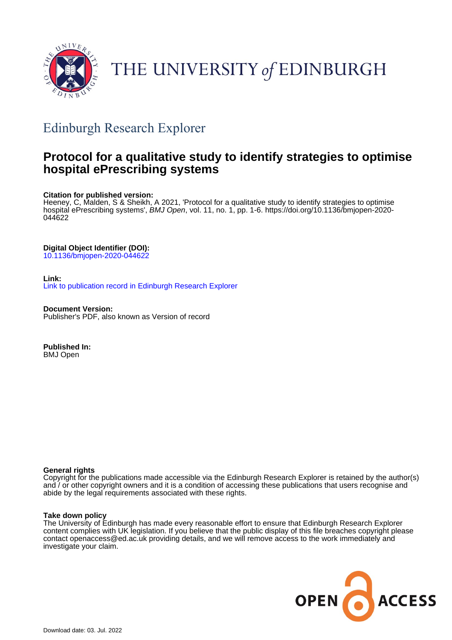

# THE UNIVERSITY of EDINBURGH

## Edinburgh Research Explorer

### **Protocol for a qualitative study to identify strategies to optimise hospital ePrescribing systems**

#### **Citation for published version:**

Heeney, C, Malden, S & Sheikh, A 2021, 'Protocol for a qualitative study to identify strategies to optimise hospital ePrescribing systems', BMJ Open, vol. 11, no. 1, pp. 1-6. [https://doi.org/10.1136/bmjopen-2020-](https://doi.org/10.1136/bmjopen-2020-044622) [044622](https://doi.org/10.1136/bmjopen-2020-044622)

### **Digital Object Identifier (DOI):**

[10.1136/bmjopen-2020-044622](https://doi.org/10.1136/bmjopen-2020-044622)

#### **Link:**

[Link to publication record in Edinburgh Research Explorer](https://www.research.ed.ac.uk/en/publications/902cfd65-78dc-42bc-9e02-e0cc55d11492)

**Document Version:** Publisher's PDF, also known as Version of record

**Published In:** BMJ Open

#### **General rights**

Copyright for the publications made accessible via the Edinburgh Research Explorer is retained by the author(s) and / or other copyright owners and it is a condition of accessing these publications that users recognise and abide by the legal requirements associated with these rights.

#### **Take down policy**

The University of Edinburgh has made every reasonable effort to ensure that Edinburgh Research Explorer content complies with UK legislation. If you believe that the public display of this file breaches copyright please contact openaccess@ed.ac.uk providing details, and we will remove access to the work immediately and investigate your claim.

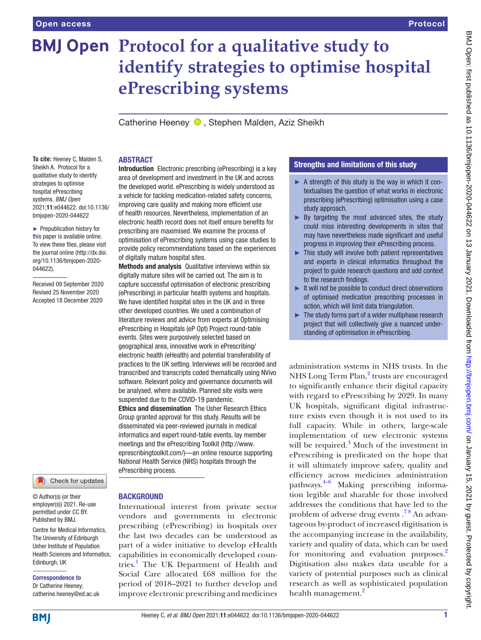# **BMJ Open Protocol for a qualitative study to identify strategies to optimise hospital ePrescribing systems**

Catherine Heeney **D**, Stephen Malden, Aziz Sheikh

**To cite:** Heeney C, Malden S, Sheikh A. Protocol for a qualitative study to identify strategies to optimise hospital ePrescribing systems. *BMJ Open* 2021;11:e044622. doi:10.1136/ bmjopen-2020-044622

► Prepublication history for this paper is available online. To view these files, please visit the journal online (http://dx.doi. org/10.1136/bmjopen-2020- 044622).

Received 09 September 2020 Revised 25 November 2020 Accepted 18 December 2020



© Author(s) (or their employer(s)) 2021. Re-use permitted under CC BY. Published by BMJ.

Centre for Medical Informatics, The University of Edinburgh Usher Institute of Population Health Sciences and Informatics, Edinburgh, UK

Correspondence to Dr Catherine Heeney;

catherine.heeney@ed.ac.uk

#### ABSTRACT

Introduction Electronic prescribing (ePrescribing) is a key area of development and investment in the UK and across the developed world. ePrescribing is widely understood as a vehicle for tackling medication-related safety concerns, improving care quality and making more efficient use of health resources. Nevertheless, implementation of an electronic health record does not itself ensure benefits for prescribing are maximised. We examine the process of optimisation of ePrescribing systems using case studies to provide policy recommendations based on the experiences of digitally mature hospital sites.

Methods and analysis Qualitative interviews within six digitally mature sites will be carried out. The aim is to capture successful optimisation of electronic prescribing (ePrescribing) in particular health systems and hospitals. We have identified hospital sites in the UK and in three other developed countries. We used a combination of literature reviews and advice from experts at Optimising ePrescribing in Hospitals (eP Opt) Project round-table events. Sites were purposively selected based on geographical area, innovative work in ePrescribing/ electronic health (eHealth) and potential transferability of practices to the UK setting. Interviews will be recorded and transcribed and transcripts coded thematically using NVivo software. Relevant policy and governance documents will be analysed, where available. Planned site visits were suspended due to the COVID-19 pandemic.

Ethics and dissemination The Usher Research Ethics Group granted approval for this study. Results will be disseminated via peer-reviewed journals in medical informatics and expert round-table events, lay member meetings and the ePrescribing Toolkit ([http://www.](http://www.eprescribingtoolkit.com/) [eprescribingtoolkit.com/](http://www.eprescribingtoolkit.com/))—an online resource supporting National Health Service (NHS) hospitals through the ePrescribing process.

#### **BACKGROUND**

International interest from private sector vendors and governments in electronic prescribing (ePrescribing) in hospitals over the last two decades can be understood as part of a wider initiative to develop eHealth capabilities in economically developed countries.<sup>1</sup> The UK Department of Health and Social Care allocated £68 million for the period of 2018–2021 to further develop and improve electronic prescribing and medicines

#### Strengths and limitations of this study

- ► A strength of this study is the way in which it contextualises the question of what works in electronic prescribing (ePrescribing) optimisation using a case study approach.
- $\triangleright$  By targeting the most advanced sites, the study could miss interesting developments in sites that may have nevertheless made significant and useful progress in improving their ePrescribing process.
- ► This study will involve both patient representatives and experts in clinical informatics throughout the project to guide research questions and add context to the research findings.
- ► It will not be possible to conduct direct observations of optimised medication prescribing processes in action, which will limit data triangulation.
- $\blacktriangleright$  The study forms part of a wider multiphase research project that will collectively give a nuanced understanding of optimisation in ePrescribing.

administration systems in NHS trusts. In the NHS Long Term Plan,<sup>[2](#page-5-1)</sup> trusts are encouraged to significantly enhance their digital capacity with regard to ePrescribing by 2029. In many UK hospitals, significant digital infrastructure exists even though it is not used to its full capacity. While in others, large-scale implementation of new electronic systems will be required.<sup>[3](#page-5-2)</sup> Much of the investment in ePrescribing is predicated on the hope that it will ultimately improve safety, quality and efficiency across medicines administration pathways.[4–6](#page-5-3) Making prescribing information legible and sharable for those involved addresses the conditions that have led to the problem of adverse drug events .<sup>78</sup> An advantageous by-product of increased digitisation is the accompanying increase in the availability, variety and quality of data, which can be used for monitoring and evaluation purposes.<sup>2</sup> Digitisation also makes data useable for a variety of potential purposes such as clinical research as well as sophisticated population health management.<sup>[2](#page-5-1)</sup>

**BMI**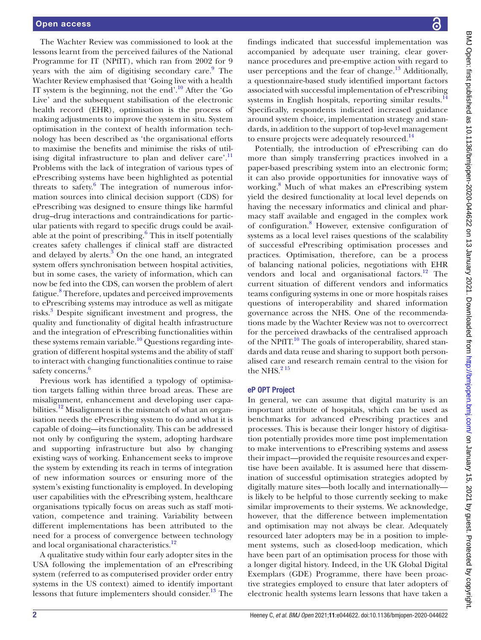The Wachter Review was commissioned to look at the lessons learnt from the perceived failures of the National Programme for IT (NPfIT), which ran from 2002 for 9 years with the aim of digitising secondary care.<sup>[9](#page-5-5)</sup> The Wachter Review emphasised that 'Going live with a health IT system is the beginning, not the end'.[10](#page-5-6) After the 'Go Live' and the subsequent stabilisation of the electronic health record (EHR), optimisation is the process of making adjustments to improve the system in situ. System optimisation in the context of health information technology has been described as 'the organisational efforts to maximise the benefits and minimise the risks of util-ising digital infrastructure to plan and deliver care'.<sup>[11](#page-5-7)</sup> Problems with the lack of integration of various types of ePrescribing systems have been highlighted as potential threats to safety.<sup>[6](#page-5-8)</sup> The integration of numerous information sources into clinical decision support (CDS) for ePrescribing was designed to ensure things like harmful drug–drug interactions and contraindications for particular patients with regard to specific drugs could be available at the point of prescribing.<sup>6</sup> This in itself potentially creates safety challenges if clinical staff are distracted and delayed by alerts. $3$  On the one hand, an integrated system offers synchronisation between hospital activities, but in some cases, the variety of information, which can now be fed into the CDS, can worsen the problem of alert fatigue.<sup>[8](#page-5-9)</sup> Therefore, updates and perceived improvements to ePrescribing systems may introduce as well as mitigate risks.<sup>[3](#page-5-2)</sup> Despite significant investment and progress, the quality and functionality of digital health infrastructure and the integration of ePrescribing functionalities within these systems remain variable.<sup>[10](#page-5-6)</sup> Questions regarding integration of different hospital systems and the ability of staff to interact with changing functionalities continue to raise safety concerns.<sup>6</sup>

Previous work has identified a typology of optimisation targets falling within three broad areas. These are misalignment, enhancement and developing user capabilities.<sup>12</sup> Misalignment is the mismatch of what an organisation needs the ePrescribing system to do and what it is capable of doing—its functionality. This can be addressed not only by configuring the system, adopting hardware and supporting infrastructure but also by changing existing ways of working. Enhancement seeks to improve the system by extending its reach in terms of integration of new information sources or ensuring more of the system's existing functionality is employed. In developing user capabilities with the ePrescribing system, healthcare organisations typically focus on areas such as staff motivation, competence and training. Variability between different implementations has been attributed to the need for a process of convergence between technology and local organisational characteristics.<sup>[12](#page-5-10)</sup>

A qualitative study within four early adopter sites in the USA following the implementation of an ePrescribing system (referred to as computerised provider order entry systems in the US context) aimed to identify important lessons that future implementers should consider. $^{13}$  $^{13}$  $^{13}$  The

findings indicated that successful implementation was accompanied by adequate user training, clear governance procedures and pre-emptive action with regard to user perceptions and the fear of change.<sup>13</sup> Additionally, a questionnaire-based study identified important factors associated with successful implementation of ePrescribing systems in English hospitals, reporting similar results. $^{14}$  $^{14}$  $^{14}$ Specifically, respondents indicated increased guidance around system choice, implementation strategy and standards, in addition to the support of top-level management to ensure projects were adequately resourced.<sup>[14](#page-5-12)</sup>

Potentially, the introduction of ePrescribing can do more than simply transferring practices involved in a paper-based prescribing system into an electronic form; it can also provide opportunities for innovative ways of working.[8](#page-5-9) Much of what makes an ePrescribing system yield the desired functionality at local level depends on having the necessary informatics and clinical and pharmacy staff available and engaged in the complex work of configuration.<sup>[8](#page-5-9)</sup> However, extensive configuration of systems as a local level raises questions of the scalability of successful ePrescribing optimisation processes and practices. Optimisation, therefore, can be a process of balancing national policies, negotiations with EHR vendors and local and organisational factors.<sup>12</sup> The current situation of different vendors and informatics teams configuring systems in one or more hospitals raises questions of interoperability and shared information governance across the NHS. One of the recommendations made by the Wachter Review was not to overcorrect for the perceived drawbacks of the centralised approach of the NPfIT.<sup>10</sup> The goals of interoperability, shared standards and data reuse and sharing to support both personalised care and research remain central to the vision for the NHS. $215$ 

#### eP OPT Project

In general, we can assume that digital maturity is an important attribute of hospitals, which can be used as benchmarks for advanced ePrescribing practices and processes. This is because their longer history of digitisation potentially provides more time post implementation to make interventions to ePrescribing systems and assess their impact—provided the requisite resources and expertise have been available. It is assumed here that dissemination of successful optimisation strategies adopted by digitally mature sites—both locally and internationally is likely to be helpful to those currently seeking to make similar improvements to their systems. We acknowledge, however, that the difference between implementation and optimisation may not always be clear. Adequately resourced later adopters may be in a position to implement systems, such as closed-loop medication, which have been part of an optimisation process for those with a longer digital history. Indeed, in the UK Global Digital Exemplars (GDE) Programme, there have been proactive strategies employed to ensure that later adopters of electronic health systems learn lessons that have taken a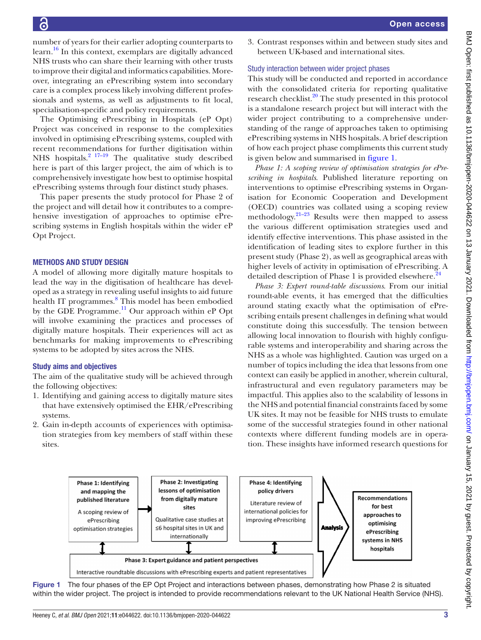number of years for their earlier adopting counterparts to learn.<sup>16</sup> In this context, exemplars are digitally advanced NHS trusts who can share their learning with other trusts to improve their digital and informatics capabilities. Moreover, integrating an ePrescribing system into secondary care is a complex process likely involving different professionals and systems, as well as adjustments to fit local, specialisation-specific and policy requirements.

The Optimising ePrescribing in Hospitals (eP Opt) Project was conceived in response to the complexities involved in optimising ePrescribing systems, coupled with recent recommendations for further digitisation within NHS hospitals. $2^{17-19}$  The qualitative study described here is part of this larger project, the aim of which is to comprehensively investigate how best to optimise hospital ePrescribing systems through four distinct study phases.

This paper presents the study protocol for Phase 2 of the project and will detail how it contributes to a comprehensive investigation of approaches to optimise ePrescribing systems in English hospitals within the wider eP Opt Project.

#### METHODS AND STUDY DESIGN

A model of allowing more digitally mature hospitals to lead the way in the digitisation of healthcare has developed as a strategy in revealing useful insights to aid future health IT programmes.<sup>[8](#page-5-9)</sup> This model has been embodied by the GDE Programme.<sup>11</sup> Our approach within eP Opt will involve examining the practices and processes of digitally mature hospitals. Their experiences will act as benchmarks for making improvements to ePrescribing systems to be adopted by sites across the NHS.

#### Study aims and objectives

The aim of the qualitative study will be achieved through the following objectives:

- 1. Identifying and gaining access to digitally mature sites that have extensively optimised the EHR/ePrescribing systems.
- 2. Gain in-depth accounts of experiences with optimisation strategies from key members of staff within these sites.

3. Contrast responses within and between study sites and between UK-based and international sites.

#### Study interaction between wider project phases

This study will be conducted and reported in accordance with the consolidated criteria for reporting qualitative research checklist.<sup>20</sup> The study presented in this protocol is a standalone research project but will interact with the wider project contributing to a comprehensive understanding of the range of approaches taken to optimising ePrescribing systems in NHS hospitals. A brief description of how each project phase compliments this current study is given below and summarised in [figure](#page-3-0) 1.

*Phase 1: A scoping review of optimisation strategies for ePrescribing in hospitals*. Published literature reporting on interventions to optimise ePrescribing systems in Organisation for Economic Cooperation and Development (OECD) countries was collated using a scoping review methodology. $21-23$  Results were then mapped to assess the various different optimisation strategies used and identify effective interventions. This phase assisted in the identification of leading sites to explore further in this present study (Phase 2), as well as geographical areas with higher levels of activity in optimisation of ePrescribing. A detailed description of Phase 1 is provided elsewhere.<sup>24</sup>

*Phase 3: Expert round-table discussions*. From our initial roundt-able events, it has emerged that the difficulties around stating exactly what the optimisation of ePrescribing entails present challenges in defining what would constitute doing this successfully. The tension between allowing local innovation to flourish with highly configurable systems and interoperability and sharing across the NHS as a whole was highlighted. Caution was urged on a number of topics including the idea that lessons from one context can easily be applied in another, wherein cultural, infrastructural and even regulatory parameters may be impactful. This applies also to the scalability of lessons in the NHS and potential financial constraints faced by some UK sites. It may not be feasible for NHS trusts to emulate some of the successful strategies found in other national contexts where different funding models are in operation. These insights have informed research questions for



<span id="page-3-0"></span>Figure 1 The four phases of the EP Opt Project and interactions between phases, demonstrating how Phase 2 is situated within the wider project. The project is intended to provide recommendations relevant to the UK National Health Service (NHS).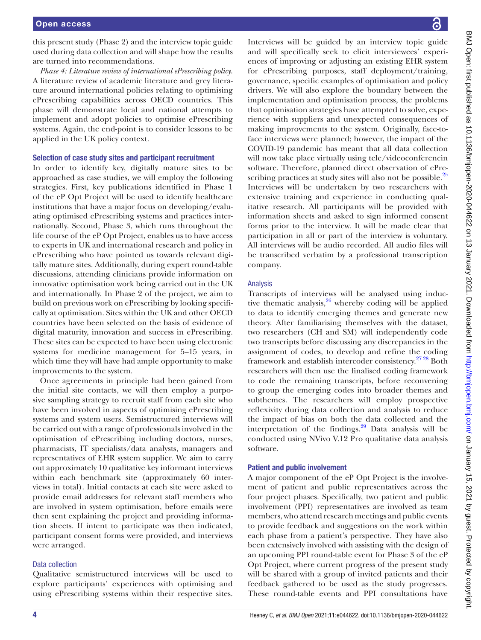this present study (Phase 2) and the interview topic guide used during data collection and will shape how the results are turned into recommendations.

*Phase 4: Literature review of international ePrescribing policy*. A literature review of academic literature and grey literature around international policies relating to optimising ePrescribing capabilities across OECD countries. This phase will demonstrate local and national attempts to implement and adopt policies to optimise ePrescribing systems. Again, the end-point is to consider lessons to be applied in the UK policy context.

#### Selection of case study sites and participant recruitment

In order to identify key, digitally mature sites to be approached as case studies, we will employ the following strategies. First, key publications identified in Phase 1 of the eP Opt Project will be used to identify healthcare institutions that have a major focus on developing/evaluating optimised ePrescribing systems and practices internationally. Second, Phase 3, which runs throughout the life course of the eP Opt Project, enables us to have access to experts in UK and international research and policy in ePrescribing who have pointed us towards relevant digitally mature sites. Additionally, during expert round-table discussions, attending clinicians provide information on innovative optimisation work being carried out in the UK and internationally. In Phase 2 of the project, we aim to build on previous work on ePrescribing by looking specifically at optimisation. Sites within the UK and other OECD countries have been selected on the basis of evidence of digital maturity, innovation and success in ePrescribing. These sites can be expected to have been using electronic systems for medicine management for 5–15 years, in which time they will have had ample opportunity to make improvements to the system.

Once agreements in principle had been gained from the initial site contacts, we will then employ a purposive sampling strategy to recruit staff from each site who have been involved in aspects of optimising ePrescribing systems and system users. Semistructured interviews will be carried out with a range of professionals involved in the optimisation of ePrescribing including doctors, nurses, pharmacists, IT specialists/data analysts, managers and representatives of EHR system supplier. We aim to carry out approximately 10 qualitative key informant interviews within each benchmark site (approximately 60 interviews in total). Initial contacts at each site were asked to provide email addresses for relevant staff members who are involved in system optimisation, before emails were then sent explaining the project and providing information sheets. If intent to participate was then indicated, participant consent forms were provided, and interviews were arranged.

#### Data collection

Qualitative semistructured interviews will be used to explore participants' experiences with optimising and using ePrescribing systems within their respective sites.

Interviews will be guided by an interview topic guide and will specifically seek to elicit interviewees' experiences of improving or adjusting an existing EHR system for ePrescribing purposes, staff deployment/training, governance, specific examples of optimisation and policy drivers. We will also explore the boundary between the implementation and optimisation process, the problems that optimisation strategies have attempted to solve, experience with suppliers and unexpected consequences of making improvements to the system. Originally, face-toface interviews were planned; however, the impact of the COVID-19 pandemic has meant that all data collection will now take place virtually using tele/videoconferencin software. Therefore, planned direct observation of ePre-scribing practices at study sites will also not be possible.<sup>[25](#page-6-4)</sup> Interviews will be undertaken by two researchers with extensive training and experience in conducting qualitative research. All participants will be provided with information sheets and asked to sign informed consent forms prior to the interview. It will be made clear that participation in all or part of the interview is voluntary. All interviews will be audio recorded. All audio files will be transcribed verbatim by a professional transcription company.

#### Analysis

Transcripts of interviews will be analysed using inductive thematic analysis, $26$  whereby coding will be applied to data to identify emerging themes and generate new theory. After familiarising themselves with the dataset, two researchers (CH and SM) will independently code two transcripts before discussing any discrepancies in the assignment of codes, to develop and refine the coding framework and establish intercoder consistency[.27 28](#page-6-6) Both researchers will then use the finalised coding framework to code the remaining transcripts, before reconvening to group the emerging codes into broader themes and subthemes. The researchers will employ prospective reflexivity during data collection and analysis to reduce the impact of bias on both the data collected and the interpretation of the findings. $29$  Data analysis will be conducted using NVivo V.12 Pro qualitative data analysis software.

#### Patient and public involvement

A major component of the eP Opt Project is the involvement of patient and public representatives across the four project phases. Specifically, two patient and public involvement (PPI) representatives are involved as team members, who attend research meetings and public events to provide feedback and suggestions on the work within each phase from a patient's perspective. They have also been extensively involved with assisting with the design of an upcoming PPI round-table event for Phase 3 of the eP Opt Project, where current progress of the present study will be shared with a group of invited patients and their feedback gathered to be used as the study progresses. These round-table events and PPI consultations have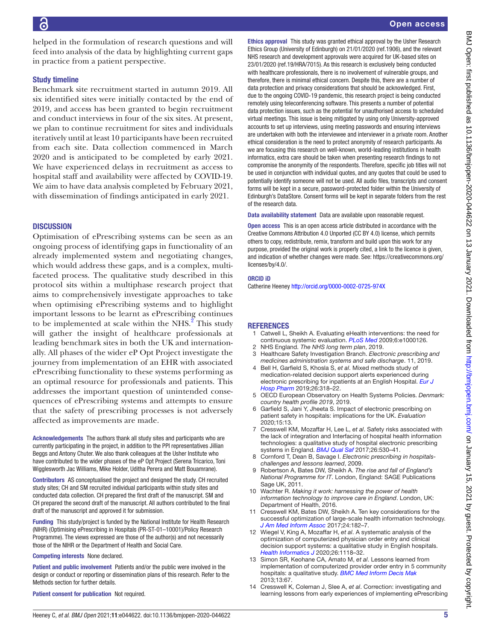helped in the formulation of research questions and will feed into analysis of the data by highlighting current gaps in practice from a patient perspective.

#### Study timeline

Benchmark site recruitment started in autumn 2019. All six identified sites were initially contacted by the end of 2019, and access has been granted to begin recruitment and conduct interviews in four of the six sites. At present, we plan to continue recruitment for sites and individuals iteratively until at least 10 participants have been recruited from each site. Data collection commenced in March 2020 and is anticipated to be completed by early 2021. We have experienced delays in recruitment as access to hospital staff and availability were affected by COVID-19. We aim to have data analysis completed by February 2021, with dissemination of findings anticipated in early 2021.

#### **DISCUSSION**

Optimisation of ePrescribing systems can be seen as an ongoing process of identifying gaps in functionality of an already implemented system and negotiating changes, which would address these gaps, and is a complex, multifaceted process. The qualitative study described in this protocol sits within a multiphase research project that aims to comprehensively investigate approaches to take when optimising ePrescribing systems and to highlight important lessons to be learnt as ePrescribing continues to be implemented at scale within the NHS. $^{2}$  This study will gather the insight of healthcare professionals at leading benchmark sites in both the UK and internationally. All phases of the wider eP Opt Project investigate the journey from implementation of an EHR with associated ePrescribing functionality to these systems performing as an optimal resource for professionals and patients. This addresses the important question of unintended consequences of ePrescribing systems and attempts to ensure that the safety of prescribing processes is not adversely affected as improvements are made.

Acknowledgements The authors thank all study sites and participants who are currently participating in the project, in addition to the PPI representatives Jillian Beggs and Antony Chuter. We also thank colleagues at the Usher Institute who have contributed to the wider phases of the eP Opt Project (Serena Tricarico, Toni Wigglesworth Jac Williams, Mike Holder, Uditha Perera and Matt Bouamrane).

Contributors AS conceptualised the project and designed the study. CH recruited study sites; CH and SM recruited individual participants within study sites and conducted data collection. CH prepared the first draft of the manuscript. SM and CH prepared the second draft of the manuscript. All authors contributed to the final draft of the manuscript and approved it for submission.

Funding This study/project is funded by the National Institute for Health Research (NIHR) (Optimising ePrescribing in Hospitals (PR-ST-01–10001)/Policy Research Programme). The views expressed are those of the author(s) and not necessarily those of the NIHR or the Department of Health and Social Care.

Competing interests None declared.

Patient and public involvement Patients and/or the public were involved in the design or conduct or reporting or dissemination plans of this research. Refer to the Methods section for further details.

Patient consent for publication Not required.

Ethics approval This study was granted ethical approval by the Usher Research Ethics Group (University of Edinburgh) on 21/01/2020 (ref.1906), and the relevant NHS research and development approvals were acquired for UK-based sites on 23/01/2020 (ref.19/HRA/7015). As this research is exclusively being conducted with healthcare professionals, there is no involvement of vulnerable groups, and therefore, there is minimal ethical concern. Despite this, there are a number of data protection and privacy considerations that should be acknowledged. First, due to the ongoing COVID-19 pandemic, this research project is being conducted remotely using teleconferencing software. This presents a number of potential data protection issues, such as the potential for unauthorised access to scheduled virtual meetings. This issue is being mitigated by using only University-approved accounts to set up interviews, using meeting passwords and ensuring interviews are undertaken with both the interviewee and interviewer in a private room. Another ethical consideration is the need to protect anonymity of research participants. As we are focusing this research on well-known, world-leading institutions in health informatics, extra care should be taken when presenting research findings to not compromise the anonymity of the respondents. Therefore, specific job titles will not be used in conjunction with individual quotes, and any quotes that could be used to potentially identify someone will not be used. All audio files, transcripts and consent forms will be kept in a secure, password-protected folder within the University of Edinburgh's DataStore. Consent forms will be kept in separate folders from the rest of the research data.

Data availability statement Data are available upon reasonable request.

Open access This is an open access article distributed in accordance with the Creative Commons Attribution 4.0 Unported (CC BY 4.0) license, which permits others to copy, redistribute, remix, transform and build upon this work for any purpose, provided the original work is properly cited, a link to the licence is given, and indication of whether changes were made. See: [https://creativecommons.org/](https://creativecommons.org/licenses/by/4.0/) [licenses/by/4.0/](https://creativecommons.org/licenses/by/4.0/).

#### ORCID iD

Catherine Heeney<http://orcid.org/0000-0002-0725-974X>

#### **REFERENCES**

- <span id="page-5-0"></span>1 Catwell L, Sheikh A. Evaluating eHealth interventions: the need for continuous systemic evaluation. *[PLoS Med](http://dx.doi.org/10.1371/journal.pmed.1000126)* 2009;6:e1000126.
- <span id="page-5-1"></span>2 NHS England. *The NHS long term plan*, 2019.
- <span id="page-5-2"></span>3 Healthcare Safety Investigation Branch. *Electronic prescribing and medicines administration systems and safe discharge*. 11, 2019.
- <span id="page-5-3"></span>4 Bell H, Garfield S, Khosla S, *et al*. Mixed methods study of medication-related decision support alerts experienced during electronic prescribing for inpatients at an English Hospital. *[Eur J](http://dx.doi.org/10.1136/ejhpharm-2017-001483)  [Hosp Pharm](http://dx.doi.org/10.1136/ejhpharm-2017-001483)* 2019;26:318–22.
- 5 OECD European Observatory on Health Systems Policies. *Denmark: country health profile 2019*, 2019.
- <span id="page-5-8"></span>6 Garfield S, Jani Y, Jheeta S. Impact of electronic prescribing on patient safety in hospitals: implications for the UK. *Evaluation* 2020;15:13.
- <span id="page-5-4"></span>7 Cresswell KM, Mozaffar H, Lee L, *et al*. Safety risks associated with the lack of integration and Interfacing of hospital health information technologies: a qualitative study of hospital electronic prescribing systems in England. *[BMJ Qual Saf](http://dx.doi.org/10.1136/bmjqs-2015-004925)* 2017;26:530–41.
- <span id="page-5-9"></span>8 Cornford T, Dean B, Savage I. *Electronic prescribing in hospitalschallenges and lessons learned*, 2009.
- <span id="page-5-5"></span>9 Robertson A, Bates DW, Sheikh A. *The rise and fall of England's National Programme for IT*. London, England: SAGE Publications Sage UK, 2011.
- <span id="page-5-6"></span>10 Wachter R. *Making it work: harnessing the power of health information technology to improve care in England*. London, UK: Department of Health, 2016.
- <span id="page-5-7"></span>11 Cresswell KM, Bates DW, Sheikh A. Ten key considerations for the successful optimization of large-scale health information technology. *[J Am Med Inform Assoc](http://dx.doi.org/10.1093/jamia/ocw037)* 2017;24:182–7.
- <span id="page-5-10"></span>12 Wiegel V, King A, Mozaffar H, *et al*. A systematic analysis of the optimization of computerized physician order entry and clinical decision support systems: a qualitative study in English hospitals. *[Health Informatics J](http://dx.doi.org/10.1177/1460458219868650)* 2020;26:1118–32.
- <span id="page-5-11"></span>13 Simon SR, Keohane CA, Amato M, *et al*. Lessons learned from implementation of computerized provider order entry in 5 community hospitals: a qualitative study. *[BMC Med Inform Decis Mak](http://dx.doi.org/10.1186/1472-6947-13-67)* 2013;13:67.
- <span id="page-5-12"></span>14 Cresswell K, Coleman J, Slee A, *et al*. Correction: investigating and learning lessons from early experiences of implementing ePrescribing